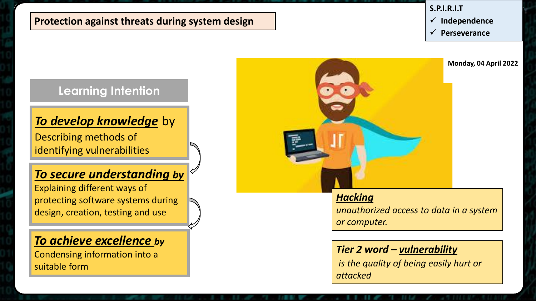#### **Protection against threats during system design**

#### **S.P.I.R.I.T**

- **Independence**
- **Perseverance**

### **Learning Intention**

#### *To develop knowledge* by

Describing methods of identifying vulnerabilities

### *To secure understanding by*

Explaining different ways of protecting software systems during design, creation, testing and use

### *To achieve excellence by*

Condensing information into a suitable form



#### *Hacking*

*unauthorized access to data in a system or computer.*

#### *Tier 2 word – vulnerability*

*is the quality of being easily hurt or attacked*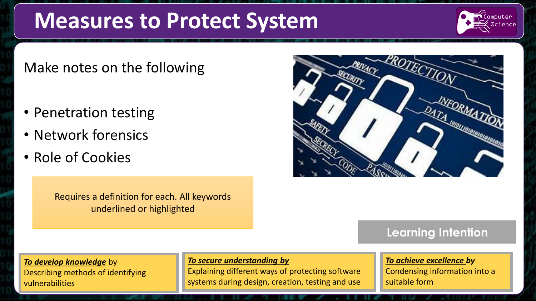## **Measures to Protect System**

# omputer

### Make notes on the following

- Penetration testing
- Network forensics
- Role of Cookies

Requires a definition for each. All keywords underlined or highlighted



### **Learning Intention**

#### *To develop knowledge* by Describing methods of identifying vulnerabilities

#### *To secure understanding by*

Explaining different ways of protecting software systems during design, creation, testing and use

#### *To achieve excellence by* Condensing information into a suitable form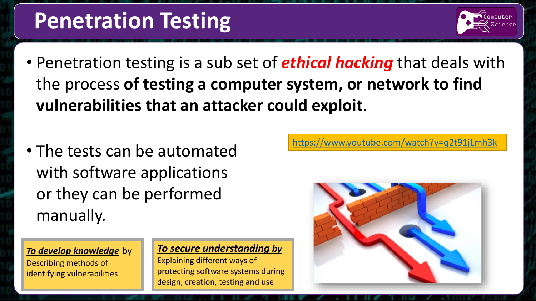## **Penetration Testing**



- Penetration testing is a sub set of *ethical hacking* that deals with the process **of testing a computer system, or network to find vulnerabilities that an attacker could exploit**.
- The tests can be automated with software applications or they can be performed manually.

*To develop knowledge* by Describing methods of identifying vulnerabilities

#### *To secure understanding by*

Explaining different ways of protecting software systems during design, creation, testing and use

<https://www.youtube.com/watch?v=q2t91jLmh3k>

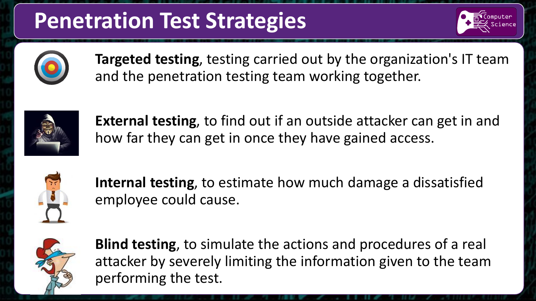## **Penetration Test Strategies**





**Targeted testing**, testing carried out by the organization's IT team and the penetration testing team working together.



**External testing**, to find out if an outside attacker can get in and how far they can get in once they have gained access.



**Internal testing**, to estimate how much damage a dissatisfied employee could cause.



**Blind testing**, to simulate the actions and procedures of a real attacker by severely limiting the information given to the team performing the test.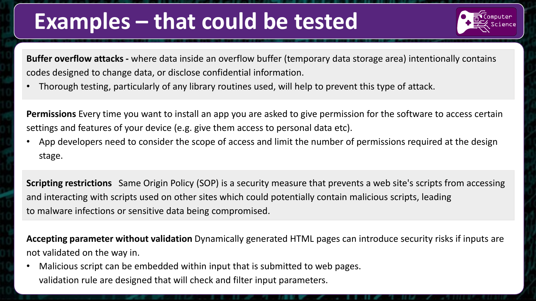## **Examples – that could be tested**



**Buffer overflow attacks -** where data inside an overflow buffer (temporary data storage area) intentionally contains codes designed to change data, or disclose confidential information.

• Thorough testing, particularly of any library routines used, will help to prevent this type of attack.

**Permissions** Every time you want to install an app you are asked to give permission for the software to access certain settings and features of your device (e.g. give them access to personal data etc).

App developers need to consider the scope of access and limit the number of permissions required at the design stage.

**Scripting restrictions** Same Origin Policy (SOP) is a security measure that prevents a web site's scripts from accessing and interacting with scripts used on other sites which could potentially contain malicious scripts, leading to malware infections or sensitive data being compromised.

**Accepting parameter without validation** Dynamically generated HTML pages can introduce security risks if inputs are not validated on the way in.

Malicious script can be embedded within input that is submitted to web pages. validation rule are designed that will check and filter input parameters.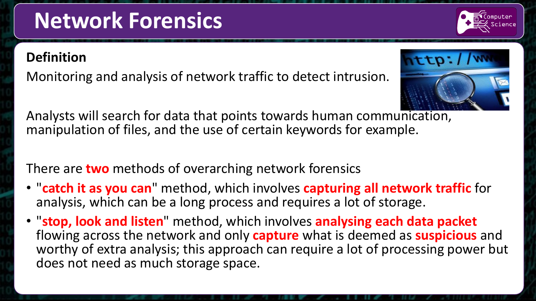# **Network Forensics**

## **Definition**

Monitoring and analysis of network traffic to detect intrusion.

Analysts will search for data that points towards human communication, manipulation of files, and the use of certain keywords for example.

## There are **two** methods of overarching network forensics

- "**catch it as you can**" method, which involves **capturing all network traffic** for analysis, which can be a long process and requires a lot of storage.
- "**stop, look and listen**" method, which involves **analysing each data packet**  flowing across the network and only **capture** what is deemed as **suspicious** and worthy of extra analysis; this approach can require a lot of processing power but does not need as much storage space.